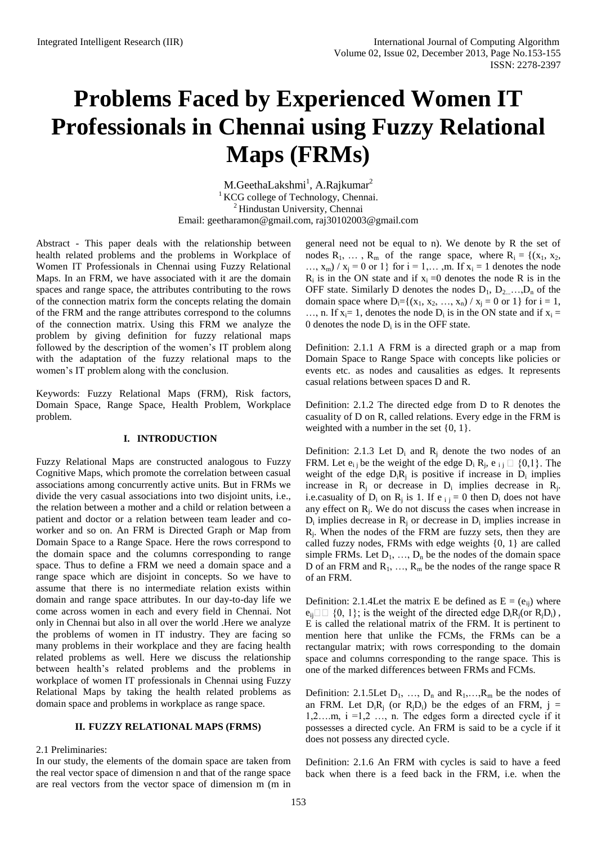# **Problems Faced by Experienced Women IT Professionals in Chennai using Fuzzy Relational Maps (FRMs)**

M.GeethaLakshmi<sup>1</sup>, A.Rajkumar<sup>2</sup> <sup>1</sup> KCG college of Technology, Chennai. <sup>2</sup> Hindustan University, Chennai Email: geetharamon@gmail.com, raj30102003@gmail.com

Abstract - This paper deals with the relationship between health related problems and the problems in Workplace of Women IT Professionals in Chennai using Fuzzy Relational Maps. In an FRM, we have associated with it are the domain spaces and range space, the attributes contributing to the rows of the connection matrix form the concepts relating the domain of the FRM and the range attributes correspond to the columns of the connection matrix. Using this FRM we analyze the problem by giving definition for fuzzy relational maps followed by the description of the women's IT problem along with the adaptation of the fuzzy relational maps to the women's IT problem along with the conclusion.

Keywords: Fuzzy Relational Maps (FRM), Risk factors, Domain Space, Range Space, Health Problem, Workplace problem.

#### **I. INTRODUCTION**

Fuzzy Relational Maps are constructed analogous to Fuzzy Cognitive Maps, which promote the correlation between casual associations among concurrently active units. But in FRMs we divide the very casual associations into two disjoint units, i.e., the relation between a mother and a child or relation between a patient and doctor or a relation between team leader and coworker and so on. An FRM is Directed Graph or Map from Domain Space to a Range Space. Here the rows correspond to the domain space and the columns corresponding to range space. Thus to define a FRM we need a domain space and a range space which are disjoint in concepts. So we have to assume that there is no intermediate relation exists within domain and range space attributes. In our day-to-day life we come across women in each and every field in Chennai. Not only in Chennai but also in all over the world .Here we analyze the problems of women in IT industry. They are facing so many problems in their workplace and they are facing health related problems as well. Here we discuss the relationship between health's related problems and the problems in workplace of women IT professionals in Chennai using Fuzzy Relational Maps by taking the health related problems as domain space and problems in workplace as range space.

#### **II. FUZZY RELATIONAL MAPS (FRMS)**

2.1 Preliminaries:

In our study, the elements of the domain space are taken from the real vector space of dimension n and that of the range space are real vectors from the vector space of dimension m (m in general need not be equal to n). We denote by R the set of nodes  $R_1, \ldots, R_m$  of the range space, where  $R_i = \{(x_1, x_2, \ldots, x_m)\}$  $..., x_m$ ) /  $x_i = 0$  or 1} for  $i = 1,..., m$ . If  $x_i = 1$  denotes the node  $R_i$  is in the ON state and if  $x_i = 0$  denotes the node R is in the OFF state. Similarly D denotes the nodes  $D_1, D_2, \ldots, D_n$  of the domain space where  $D_i = \{(x_1, x_2, ..., x_n) / x_i = 0 \text{ or } 1\}$  for  $i = 1$ , ..., n. If  $x_i = 1$ , denotes the node  $D_i$  is in the ON state and if  $x_i =$ 0 denotes the node  $D_i$  is in the OFF state.

Definition: 2.1.1 A FRM is a directed graph or a map from Domain Space to Range Space with concepts like policies or events etc. as nodes and causalities as edges. It represents casual relations between spaces D and R.

Definition: 2.1.2 The directed edge from D to R denotes the casuality of D on R, called relations. Every edge in the FRM is weighted with a number in the set  $\{0, 1\}$ .

Definition: 2.1.3 Let  $D_i$  and  $R_i$  denote the two nodes of an FRM. Let  $e_{i,j}$  be the weight of the edge  $D_i R_j$ ,  $e_{i,j}$ weight of the edge  $D_iR_j$  is positive if increase in  $D_i$  implies increase in  $R_j$  or decrease in  $D_i$  implies decrease in  $R_j$ . i.e.casuality of  $D_i$  on  $R_j$  is 1. If  $e_{i,j} = 0$  then  $D_i$  does not have any effect on  $R_j$ . We do not discuss the cases when increase in  $D_i$  implies decrease in  $R_i$  or decrease in  $D_i$  implies increase in  $R_j$ . When the nodes of the FRM are fuzzy sets, then they are called fuzzy nodes, FRMs with edge weights {0, 1} are called simple FRMs. Let  $D_1, \ldots, D_n$  be the nodes of the domain space D of an FRM and  $R_1, ..., R_m$  be the nodes of the range space R of an FRM.

Definition: 2.1.4Let the matrix E be defined as  $E = (e_{ii})$  where  $e_{ii} \Box \Box$  {0, 1}; is the weight of the directed edge  $D_iR_i$  (or  $R_iD_i$ ), E is called the relational matrix of the FRM. It is pertinent to mention here that unlike the FCMs, the FRMs can be a rectangular matrix; with rows corresponding to the domain space and columns corresponding to the range space. This is one of the marked differences between FRMs and FCMs.

Definition: 2.1.5Let  $D_1$ , ...,  $D_n$  and  $R_1$ , ...,  $R_m$  be the nodes of an FRM. Let  $D_iR_i$  (or  $R_iD_i$ ) be the edges of an FRM,  $j =$  $1,2,...m$ ,  $i = 1,2,...,n$ . The edges form a directed cycle if it possesses a directed cycle. An FRM is said to be a cycle if it does not possess any directed cycle.

Definition: 2.1.6 An FRM with cycles is said to have a feed back when there is a feed back in the FRM, i.e. when the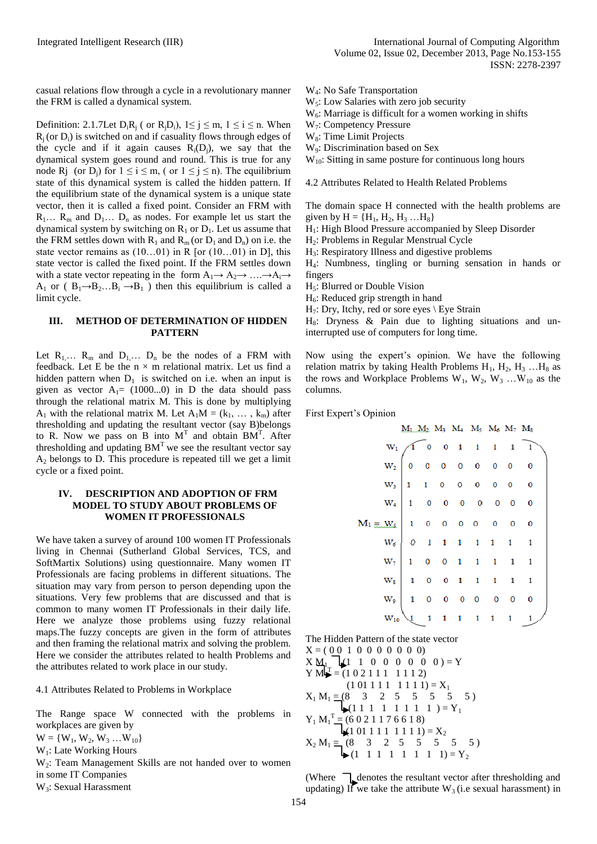casual relations flow through a cycle in a revolutionary manner the FRM is called a dynamical system.

Definition: 2.1.7Let  $D_iR_i$  ( or  $R_iD_i$ ),  $1 \le j \le m$ ,  $1 \le i \le n$ . When  $R_i$  (or  $D_i$ ) is switched on and if casuality flows through edges of the cycle and if it again causes  $R_i(D_i)$ , we say that the dynamical system goes round and round. This is true for any node R<sub>j</sub> (or D<sub>i</sub>) for  $1 \le i \le m$ , (or  $1 \le j \le n$ ). The equilibrium state of this dynamical system is called the hidden pattern. If the equilibrium state of the dynamical system is a unique state vector, then it is called a fixed point. Consider an FRM with  $R_1... R_m$  and  $D_1... D_n$  as nodes. For example let us start the dynamical system by switching on  $R_1$  or  $D_1$ . Let us assume that the FRM settles down with  $R_1$  and  $R_m$  (or  $D_1$  and  $D_n$ ) on i.e. the state vector remains as (10…01) in R [or (10…01) in D], this state vector is called the fixed point. If the FRM settles down with a state vector repeating in the form  $A_1 \rightarrow A_2 \rightarrow \dots \rightarrow A_i \rightarrow$ A<sub>1</sub> or ( $B_1 \rightarrow B_2...B_i \rightarrow B_1$ ) then this equilibrium is called a limit cycle.

### **III. METHOD OF DETERMINATION OF HIDDEN PATTERN**

Let  $R_1... R_m$  and  $D_1... D_n$  be the nodes of a FRM with feedback. Let E be the  $n \times m$  relational matrix. Let us find a hidden pattern when  $D_1$  is switched on i.e. when an input is given as vector  $A_1 = (1000...0)$  in D the data should pass through the relational matrix M. This is done by multiplying A<sub>1</sub> with the relational matrix M. Let  $A_1M = (k_1, \ldots, k_m)$  after thresholding and updating the resultant vector (say B)belongs to R. Now we pass on B into  $M<sup>T</sup>$  and obtain BM<sup>T</sup>. After thresholding and updating  $BM<sup>T</sup>$  we see the resultant vector say  $A<sub>2</sub>$  belongs to D. This procedure is repeated till we get a limit cycle or a fixed point.

#### **IV. DESCRIPTION AND ADOPTION OF FRM MODEL TO STUDY ABOUT PROBLEMS OF WOMEN IT PROFESSIONALS**

We have taken a survey of around 100 women IT Professionals living in Chennai (Sutherland Global Services, TCS, and SoftMartix Solutions) using questionnaire. Many women IT Professionals are facing problems in different situations. The situation may vary from person to person depending upon the situations. Very few problems that are discussed and that is common to many women IT Professionals in their daily life. Here we analyze those problems using fuzzy relational maps.The fuzzy concepts are given in the form of attributes and then framing the relational matrix and solving the problem. Here we consider the attributes related to health Problems and the attributes related to work place in our study.

4.1 Attributes Related to Problems in Workplace

The Range space W connected with the problems in workplaces are given by

 $W = \{W_1, W_2, W_3 ... W_{10}\}$ 

W<sub>1</sub>: Late Working Hours

W2: Team Management Skills are not handed over to women in some IT Companies

W3: Sexual Harassment

- W4: No Safe Transportation
- W<sub>5</sub>: Low Salaries with zero job security
- $W_6$ : Marriage is difficult for a women working in shifts

W7: Competency Pressure

W<sub>8</sub>: Time Limit Projects

W9: Discrimination based on Sex

 $W_{10}$ : Sitting in same posture for continuous long hours

4.2 Attributes Related to Health Related Problems

The domain space H connected with the health problems are given by  $H = {H_1, H_2, H_3, ... H_8}$ 

H1: High Blood Pressure accompanied by Sleep Disorder

H2: Problems in Regular Menstrual Cycle

H3: Respiratory Illness and digestive problems

H4: Numbness, tingling or burning sensation in hands or fingers

 $H<sub>5</sub>$ : Blurred or Double Vision

 $H<sub>6</sub>$ : Reduced grip strength in hand

 $H_7$ : Dry, Itchy, red or sore eyes \ Eye Strain

 $H_8$ : Dryness & Pain due to lighting situations and uninterrupted use of computers for long time.

Now using the expert's opinion. We have the following relation matrix by taking Health Problems  $H_1$ ,  $H_2$ ,  $H_3$  ...  $H_8$  as the rows and Workplace Problems  $W_1$ ,  $W_2$ ,  $W_3$  ...  $W_{10}$  as the columns.

First Expert's Opinion

|                                    |                            |                         |   |  | $M_1$ $M_2$ $M_3$ $M_4$ $M_5$ $M_6$ $M_7$ $M_8$ |              |              |  |
|------------------------------------|----------------------------|-------------------------|---|--|-------------------------------------------------|--------------|--------------|--|
|                                    | $W_1$                      |                         |   |  | $0 \t 0 \t 1 \t 1 \t 1 \t 1 \t 1$               |              |              |  |
|                                    |                            | $W_2$ 0 0 0 0 0 0 0 0 0 |   |  |                                                 |              |              |  |
|                                    | $W_3$                      |                         |   |  | $1 \t1 \t0 \t0 \t0 \t0 \t0 \t0$                 |              |              |  |
|                                    | $W_4$                      |                         |   |  | 1 0 0 0 0 0 0 0                                 |              |              |  |
| $M_1 \equiv W_5$   1 0 0 0 0 0 0 0 |                            |                         |   |  |                                                 |              |              |  |
|                                    |                            | $W_6$ 0 1 1 1 1 1 1 1   |   |  |                                                 |              |              |  |
|                                    | $\mathbf{W}_{\mathcal{T}}$ |                         |   |  | $1 \t 0 \t 0 \t 1 \t 1 \t 1 \t 1$               |              | $\mathbf{1}$ |  |
|                                    | $\rm W_8$                  |                         |   |  | 1 0 0 1 1 1 1 1                                 |              |              |  |
|                                    | w.                         |                         |   |  | 1 0 0 0 0 0 0 0                                 |              |              |  |
|                                    | $W_{10}$                   |                         | 1 |  | $\begin{array}{cccc} 1 & 1 & 1 & 1 \end{array}$ | $\mathbf{1}$ |              |  |

The Hidden Pattern of the state vector  $X = (0.0 1 0 0 0 0 0 0 0)$  $X M<sub>1</sub>$  $(1 \t1 \t0 \t0 \t0 \t0 \t0 \t0) = Y$  $Y M = (1 \ 0 \ 2 \ 1 \ 1 \ 1 \ 1 \ 1 \ 1 \ 2)$  $(1 01 1 1 1 1 1 111) = X_1$  $X_1 M_1 \equiv (8 \quad 3 \quad 2 \quad 5 \quad 5 \quad 5 \quad 5 \quad 5)$  $\bigcup_{i=1}^{n} (1 \ 1 \ 1 \ 1 \ 1 \ 1 \ 1 \ 1 \ 1 \ 1 \big) = Y_1$  $Y_1 M_1^T = (6021176618)$  $(1 01 1 1 1 1 1 11) = X_2$  $X_2 M_1 \equiv (8 \quad 3 \quad 2 \quad 5 \quad 5 \quad 5 \quad 5)$  $\blacktriangleright$  (1 1 1 1 1 1 1 1 1) = Y<sub>2</sub>

(Where denotes the resultant vector after thresholding and updating) If we take the attribute  $W_3$  (i.e sexual harassment) in